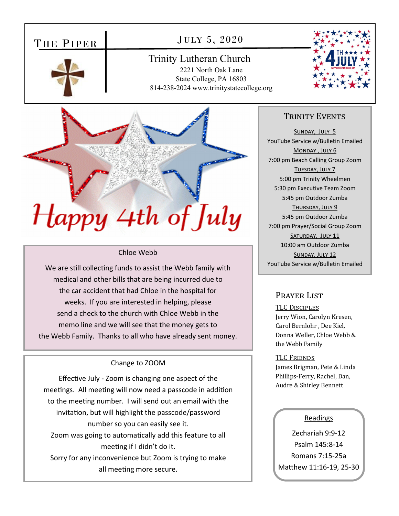# THE PIPER

## JULY 5, 2020

Trinity Lutheran Church 2221 North Oak Lane State College, PA 16803 814-238-2024 www.trinitystatecollege.org





#### Chloe Webb

We are still collecting funds to assist the Webb family with medical and other bills that are being incurred due to the car accident that had Chloe in the hospital for weeks. If you are interested in helping, please send a check to the church with Chloe Webb in the memo line and we will see that the money gets to the Webb Family. Thanks to all who have already sent money.

#### Change to ZOOM

Effective July - Zoom is changing one aspect of the meetings. All meeting will now need a passcode in addition to the meeting number. I will send out an email with the invitation, but will highlight the passcode/password number so you can easily see it. Zoom was going to automatically add this feature to all meeting if I didn't do it. Sorry for any inconvenience but Zoom is trying to make all meeting more secure.

## TRINITY EVENTS

SUNDAY, JULY 5 YouTube Service w/Bulletin Emailed MONDAY, JULY 6 7:00 pm Beach Calling Group Zoom TUESDAY, JULY 7 5:00 pm Trinity Wheelmen 5:30 pm Executive Team Zoom 5:45 pm Outdoor Zumba THURSDAY, JULY 9 5:45 pm Outdoor Zumba 7:00 pm Prayer/Social Group Zoom SATURDAY, JULY 11 10:00 am Outdoor Zumba SUNDAY, JULY 12 YouTube Service w/Bulletin Emailed

## PRAYER LIST

TLC DISCIPLES Jerry Wion, Carolyn Kresen, Carol Bernlohr , Dee Kiel, Donna Weller, Chloe Webb & the Webb Family

#### TLC FRIENDS

James Brigman, Pete & Linda Phillips-Ferry, Rachel, Dan, Audre & Shirley Bennett

## Readings

Zechariah 9:9‐12 Psalm 145:8‐14 Romans 7:15‐25a Matthew 11:16-19, 25-30